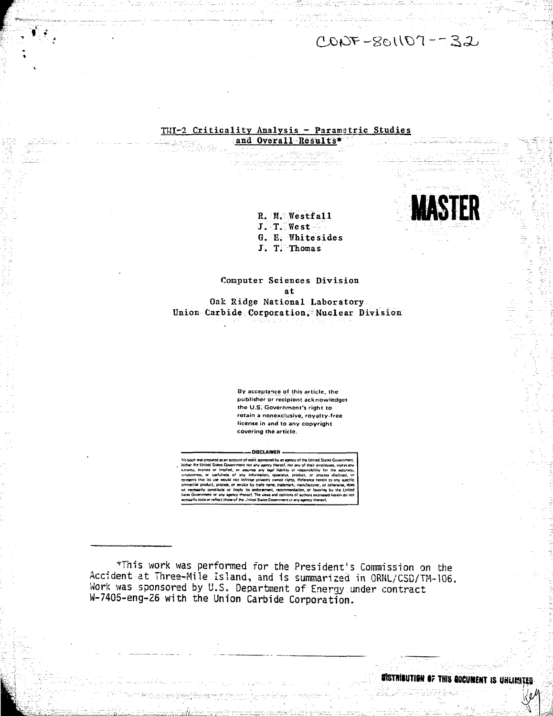$CODF-SOLIO7=-32$ 

**MASTER**

## THI-2 Criticality Analysis - Parametric Studies and Overall-Results\*

**r**

R. M. Westfall J. T. West G. E. Whitesides J. T. Thomas

Computer Sciences Division at Oak Ridge National Laboratory Union Carbide Corporation, Nuclear Division

> **By acceptance of this article, the publisher or recipient acknowledges the U.S. Government's right to retain a nonexclusive, royalty-free license in and to any copyright covering the article.**

## **-DISCLAIMER -**

"hit boo\* was prepared as an account ol work sponsored by an agency of the United Slates Government. tether ihe United States Government nor any agency 1 hereof, nor any of their employees, makes any curanty. express or implied, or assumes any legal liability or responsibility for the accuracy, ompleteness, or usefulness of any information, apparatus, product, or process disclosed, or epresents that its use would not infringe privately owned rights. Reference herein to any specific ommercial product, process, or service by trade name, trademark, manufacturer, or otherwise, does rat necessarily constitute or imply its endorgement, recommendation, or favoring by the United itates Government or any agency thereof. The views and opinions of authors expressed herein do not leceturily itate or reflect thereof trie Jnited Statei Government cr any agency thereof.

\*This work was performed for the President's Commission on the Accident at Three-Mile Island, and is summarized in ORNL/CSD/TM-106. Work was sponsored by U.S. Department of Energy under contract W-7405-eng-Z6 with the Union Carbide Corporation.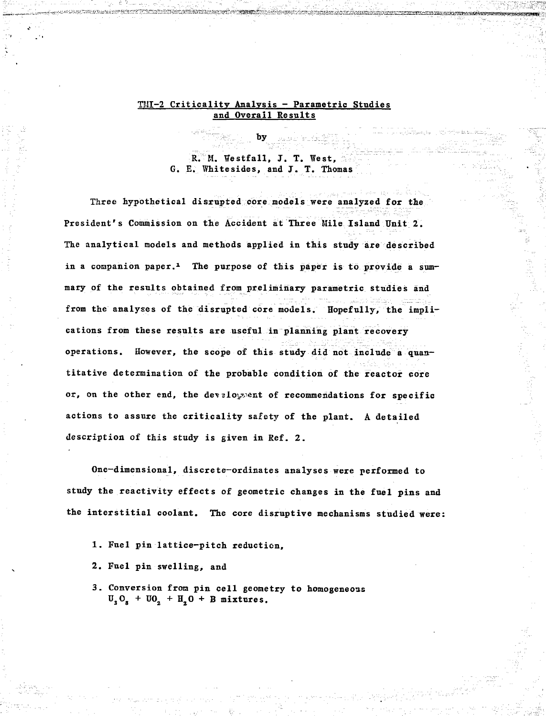## **TMI-2 Criticalitv Analysis - Parametric Studies and Overall Results**

R. M. Westfall, J. T. West. **G. E. Whitesides, and J. T. Thomas**

**Three hypothetical disrupted core models were analyzed for the President's Commission on the Accident at Three Mile Island Unit 2. The analytical models and methods applied in this study are described in a companion paper.<sup>1</sup> The purpose of this paper is to provide a summary of the results obtained from preliminary parametric studies and from the analyses of the disrupted core models. Hopefully, the implications from these results are useful in planning plant recovery operations. However, the scope of this study did not include a quantitative determination of the probable condition of the reactor core** or, on the other end, the develoyment of recommendations for specific **actions to assure the criticality safety of the plant. A detailed description of this study is given in Ref. 2.**

**One—dimensional, discrete—ordinates analyses were performed to study the reactivity effects of geometric changes in the fuel pins and the interstitial coolant. The core disruptive mechanisms studied were:**

- **1. Fuel pin lattice-pitch reduction,**
- **2. Fuel pin swelling, and**
- **3. Conversion from pin cell geometry to homogeneous**  $U_3 O_g + U_2 O_g + H_3 O + B$  mixtures.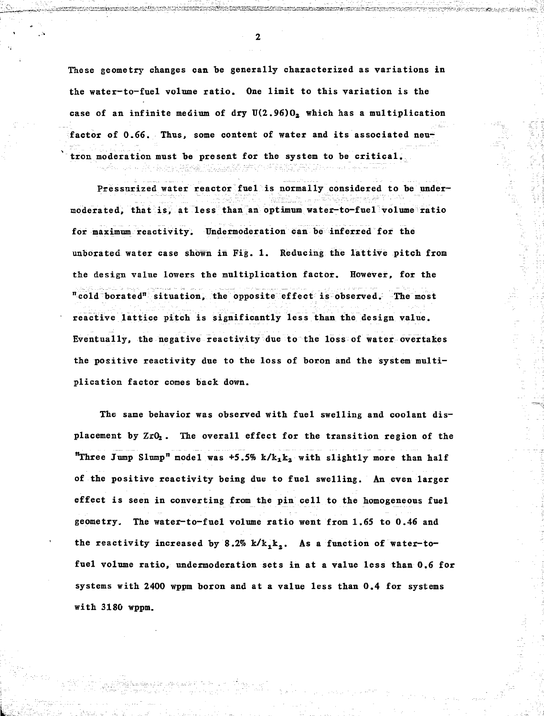**These geometry changes can be generally characterized as variations in the water-to-fuel volume ratio. One limit to this variation is the case of an infinite medium of dry U(2.96)02 which has a multiplication** factor of 0.66. Thus, some content of water and its associated neu**tron moderation must be present for the system to be critical.**

Filmen Alexió ATV (197

**Pressurized water reactor fuel is normally considered to be undermoderated, that is, at less than an optimum water-to-fuel volume ratio for maximum reactivity. Undermoderation can be inferred for the unborated water case shown in Fig. 1. Reducing the lattive pitch from the design value lowers the multiplication factor. However, for the "cold borated" situation, the opposite effect is observed. The most reactive lattice pitch is significantly less than the design value. Eventually, the negative reactivity due to the loss of water overtakes the positive reactivity due to the loss of boron and the system multiplication factor comes back down.**

**The same behavior was observed with fuel swelling and coolant dis**placement by  $ZrO<sub>2</sub>$ . The overall effect for the transition region of the **"Three Jump Slump" model was +5.5% k/hxk2 with slightly more than half of the positive reactivity being due to fuel swelling. An even larger effect is seen in converting from the pin cell to the homogeneous fuel geometry. The water-to-fuel volume ratio went from 1.65 to 0.46 and** the reactivity increased by  $8.2\%$   $k/k_1k_2$ . As a function of water-to**fuel volume ratio, undermoderation sets in at a value less than 0.6 for systems with 2400 wppm boron and at a value less than 0.4 for systems with 3180 wppm.**

 $\overline{2}$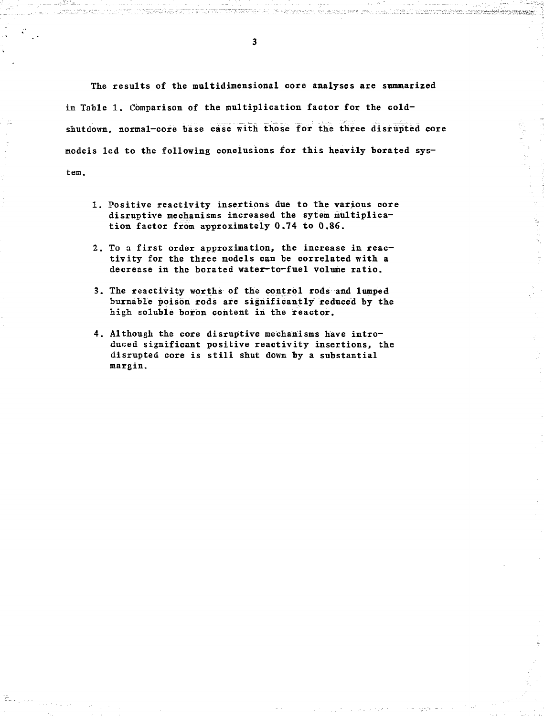The results of the multidimensional core analyses are summarized in Table 1. Comparison of the multiplication factor for the coldshutdown, normal-core base case with those for the three disrupted core models led to the following conclusions for this heavily borated system.

- 1. Positive reactivity insertions due to the various core disruptive mechanisms increased the sytem multiplication factor from approximately 0.74 to 0.86.
- 2. To a first order approximation, the increase in reactivity for the three models can be correlated with a decrease in the borated water-to—fuel volume ratio.
- 3. The reactivity worths of the control rods and lumped burnable poison rods are significantly reduced by the high soluble boron content in the reactor.
- 4. Although the core disruptive mechanisms have introduced significant positive reactivity insertions, the disrupted core is still shut down by a substantial margin.

 $\overline{\mathbf{3}}$ 

antika samata

ti Titulia del code e con formano este code la la la la computa standaria de la Santa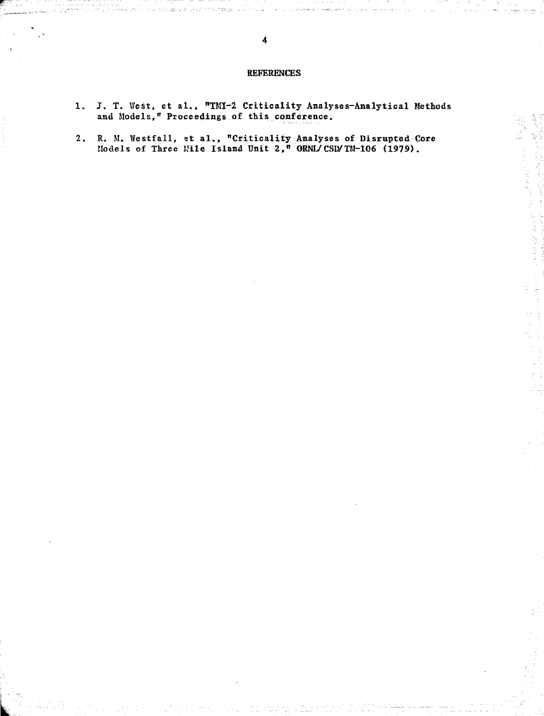## REFERENCES

 $\omega$  to terms<br>  $\omega$ 

- 1. J. T. West, et al., "TMI-2 Criticality Analyses-Analytical Methods and Models," Proceedings of this conference.
- 2. R. M. Westfall, et al., "Criticality Analyses of Disrupted Core Models of Three Mile Island Unit 2," ORNL/CSD/TM-106 (1979).

فالديني المستريد

leks in propiz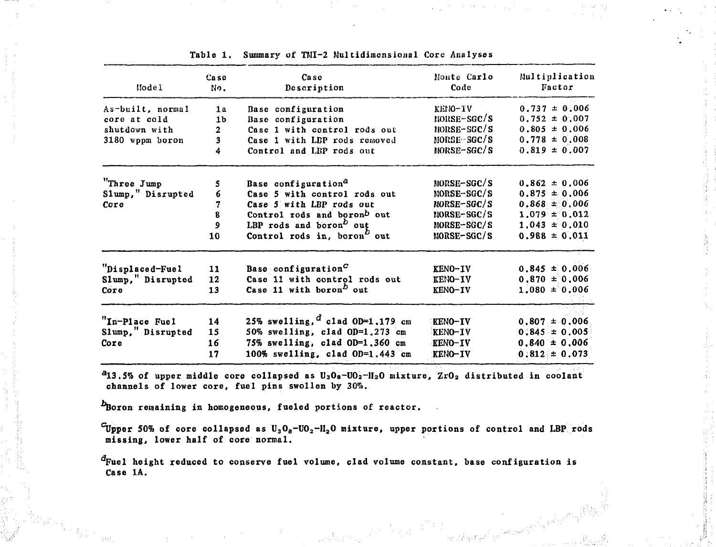| Model             | Case<br>No.    | Case<br>Description                                  | Monte Carlo<br>Code | Multiplication<br>Factor |
|-------------------|----------------|------------------------------------------------------|---------------------|--------------------------|
| As-built, normal  | 1 <sub>a</sub> | Base configuration                                   | KENO-IV             | $\pm 0.006$<br>0.737     |
| core at cold      | 1 <sub>b</sub> | Base configuration                                   | $NORSE-SGC/S$       | $0.752 \pm 0.007$        |
| shutdown with     | $\mathbf{2}$   | Case 1 with control rods out                         | NORSE-SGC/S         | $0.805 \pm 0.006$        |
| 3180 wppm boron   | 3              | Case 1 with LBP rods removed                         | MORSE-SGC/S         | $0.778 = 0.008$          |
|                   | 4              | Control and LBP rods out                             | NORSE–SGC/S         | $0.819 \pm 0.007$        |
| "Three Jump       | 5              | Base configuration <sup>a</sup>                      | MORSE-SGC/S         | $0.862 \pm 0.006$        |
| Slump," Disrupted | 6              | Case 5 with control rods out                         | MORSE-SGC/S         | $0.875 = 0.006$          |
| Core              | 7              | Case 5 with LBP rods out                             | MORSE-SGC/S         | $0.868 \pm 0.006$        |
|                   | 8              | Control rods and boronb out                          | NORSE-SGC/S         | $1.079 = 0.012$          |
|                   | 9              |                                                      | MORSE-SGC/S         | $1,043 \pm 0,010$        |
|                   |                | LBP rods and boron <sup>b</sup> out                  |                     |                          |
|                   | 10             | Control rods in, boron <sup><math>D</math></sup> out | MORSE-SGC/S         | $0.988 \pm 0.011$        |
| "Displaced-Fuel   | 11             | Base configuration <sup>C</sup>                      | KENO-IV             | $0.845 \pm 0.006$        |
| Slump," Disrupted | 12             | Case 11 with control rods out                        | KENO-IV             | $0.870 \pm 0.006$        |
| Core              | 13             | Case 11 with boron <sup>D</sup> out                  | KENO-IV             | $1.080 \pm 0.006$        |
| "In-Place Fuel    | 14             | 25% swelling, $d$ clad OD=1,179 cm                   | KENO-IV             | $0.807 \pm 0.006$        |
| Slump," Disrupted | 15             | 50% swelling, clad OD=1.273 cm                       | KENO-IV             | $0.845 \pm 0.005$        |
| Core              | 16             | 75% swelling, clad OD=1,360 cm                       | KENO-IV             | $0.840 \pm 0.006$        |
|                   |                |                                                      |                     |                          |
|                   | 17             | 100% swelling, clad OD=1.443 cm                      | KENO-IV             | $0.812 \pm 0.073$        |

**Table 1. Summary of TMI-2 Multidimensional Core Analyses**

**<sup>a</sup>13.5% of upper middle core collapsed as U <sup>3</sup> OB-U02-1I2 0 mixture, ZrO2 distributed in coolant channels of lower core, fuel pins swollen by 307s.**

*P***Boron remaining in homogeneous, fueled portions of reactor.** 

**"Tipper 50% of core collapsed as U3O8-UO2-1I2O mixture, upper portions of control and LBP rods missing, lower half of core normal.**

 $\label{eq:2.1} \frac{1}{\sqrt{2\pi}}\int_{\mathbb{R}^3}\frac{1}{\sqrt{2\pi}}\int_{\mathbb{R}^3}\left|\frac{1}{\sqrt{2\pi}}\right|^2\frac{1}{\sqrt{2\pi}}\int_{\mathbb{R}^3}\frac{1}{\sqrt{2\pi}}\int_{\mathbb{R}^3}\frac{1}{\sqrt{2\pi}}\frac{1}{\sqrt{2\pi}}\frac{1}{\sqrt{2\pi}}\int_{\mathbb{R}^3}\frac{1}{\sqrt{2\pi}}\frac{1}{\sqrt{2\pi}}\frac{1}{\sqrt{2\pi}}\frac{1}{\sqrt{2\pi}}\frac{1}{\$ 

**Fuel height reduced to conserve fuel volume, clad volume constant, base configuration is Case 1A.**